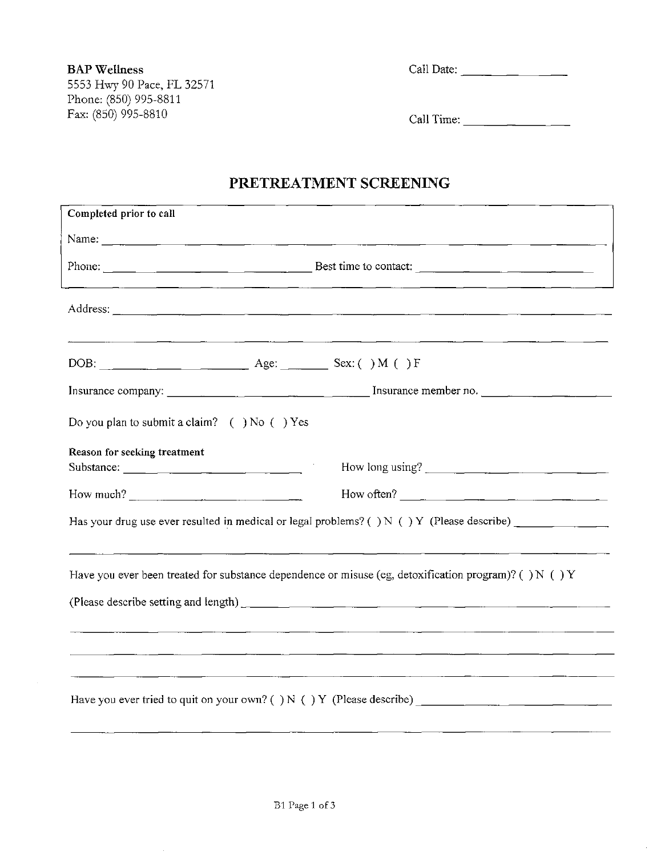# **PRETREATMENT SCREENING**

| Completed prior to call                                                                               |                                                                                                                                                                                                                                                                                                                                                                                                              |  |  |  |  |
|-------------------------------------------------------------------------------------------------------|--------------------------------------------------------------------------------------------------------------------------------------------------------------------------------------------------------------------------------------------------------------------------------------------------------------------------------------------------------------------------------------------------------------|--|--|--|--|
|                                                                                                       | Name: $\frac{1}{2}$                                                                                                                                                                                                                                                                                                                                                                                          |  |  |  |  |
|                                                                                                       | Phone: $\frac{1}{\sqrt{1-\frac{1}{2}}\sqrt{1-\frac{1}{2}}\sqrt{1-\frac{1}{2}}\sqrt{1-\frac{1}{2}}\sqrt{1-\frac{1}{2}}\sqrt{1-\frac{1}{2}}\sqrt{1-\frac{1}{2}}\sqrt{1-\frac{1}{2}}\sqrt{1-\frac{1}{2}}\sqrt{1-\frac{1}{2}}\sqrt{1-\frac{1}{2}}\sqrt{1-\frac{1}{2}}\sqrt{1-\frac{1}{2}}\sqrt{1-\frac{1}{2}}\sqrt{1-\frac{1}{2}}\sqrt{1-\frac{1}{2}}\sqrt{1-\frac{1}{2}}\sqrt{1-\frac{1}{2}}\sqrt{1-\frac{1}{2$ |  |  |  |  |
|                                                                                                       |                                                                                                                                                                                                                                                                                                                                                                                                              |  |  |  |  |
|                                                                                                       | DOB: $\qquad \qquad \text{Age:} \qquad \text{Sex:} \qquad \text{Sex:} \qquad \text{JM} \qquad \text{JF}$                                                                                                                                                                                                                                                                                                     |  |  |  |  |
|                                                                                                       |                                                                                                                                                                                                                                                                                                                                                                                                              |  |  |  |  |
| Do you plan to submit a claim? $( )$ No $( )$ Yes                                                     |                                                                                                                                                                                                                                                                                                                                                                                                              |  |  |  |  |
| Reason for seeking treatment                                                                          |                                                                                                                                                                                                                                                                                                                                                                                                              |  |  |  |  |
| Substance:                                                                                            | How long using?                                                                                                                                                                                                                                                                                                                                                                                              |  |  |  |  |
| How much? $\qquad \qquad$                                                                             | How often?                                                                                                                                                                                                                                                                                                                                                                                                   |  |  |  |  |
| Has your drug use ever resulted in medical or legal problems? () $N$ () $Y$ (Please describe)         |                                                                                                                                                                                                                                                                                                                                                                                                              |  |  |  |  |
| Have you ever been treated for substance dependence or misuse (eg, detoxification program)? () N () Y |                                                                                                                                                                                                                                                                                                                                                                                                              |  |  |  |  |
|                                                                                                       |                                                                                                                                                                                                                                                                                                                                                                                                              |  |  |  |  |
|                                                                                                       |                                                                                                                                                                                                                                                                                                                                                                                                              |  |  |  |  |
|                                                                                                       |                                                                                                                                                                                                                                                                                                                                                                                                              |  |  |  |  |
|                                                                                                       |                                                                                                                                                                                                                                                                                                                                                                                                              |  |  |  |  |
| Have you ever tried to quit on your own? () N () Y (Please describe)                                  |                                                                                                                                                                                                                                                                                                                                                                                                              |  |  |  |  |
|                                                                                                       |                                                                                                                                                                                                                                                                                                                                                                                                              |  |  |  |  |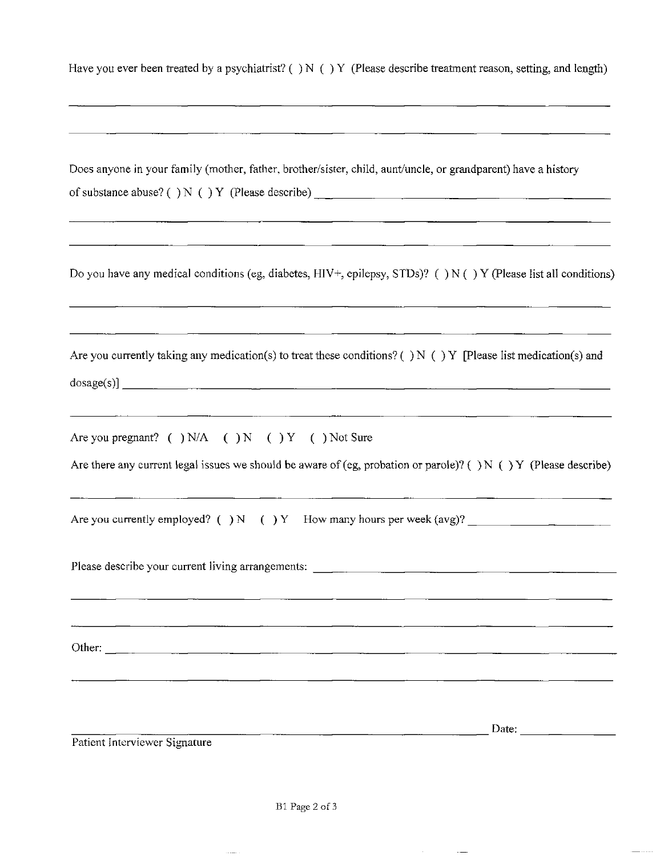|  |  | Have you ever been treated by a psychiatrist? () N () Y (Please describe treatment reason, setting, and length) |  |
|--|--|-----------------------------------------------------------------------------------------------------------------|--|
|--|--|-----------------------------------------------------------------------------------------------------------------|--|

| Does anyone in your family (mother, father, brother/sister, child, aunt/uncle, or grandparent) have a history                                                                                                                                                                                                                                                                                                                                     |
|---------------------------------------------------------------------------------------------------------------------------------------------------------------------------------------------------------------------------------------------------------------------------------------------------------------------------------------------------------------------------------------------------------------------------------------------------|
| Do you have any medical conditions (eg, diabetes, HIV+, epilepsy, STDs)? () N () Y (Please list all conditions)                                                                                                                                                                                                                                                                                                                                   |
| Are you currently taking any medication(s) to treat these conditions? () N () Y [Please list medication(s) and                                                                                                                                                                                                                                                                                                                                    |
| Are you pregnant? ( ) $N/A$ ( ) N ( ) Y ( ) Not Sure<br>Are there any current legal issues we should be aware of (eg, probation or parole)? () N () Y (Please describe)                                                                                                                                                                                                                                                                           |
| Are you currently employed? () N () Y How many hours per week $(avg)?$                                                                                                                                                                                                                                                                                                                                                                            |
|                                                                                                                                                                                                                                                                                                                                                                                                                                                   |
|                                                                                                                                                                                                                                                                                                                                                                                                                                                   |
| Date: $\frac{1}{\sqrt{1-\frac{1}{2}} \cdot \frac{1}{2} \cdot \frac{1}{2} \cdot \frac{1}{2} \cdot \frac{1}{2} \cdot \frac{1}{2} \cdot \frac{1}{2} \cdot \frac{1}{2} \cdot \frac{1}{2} \cdot \frac{1}{2} \cdot \frac{1}{2} \cdot \frac{1}{2} \cdot \frac{1}{2} \cdot \frac{1}{2} \cdot \frac{1}{2} \cdot \frac{1}{2} \cdot \frac{1}{2} \cdot \frac{1}{2} \cdot \frac{1}{2} \cdot \frac{1}{2} \cdot \frac{1}{2} \cdot \frac{1}{2} \cdot \frac{1}{2}$ |
| Patient Interviewer Signature                                                                                                                                                                                                                                                                                                                                                                                                                     |

 $\sim$ 

 $\sim$   $\sim$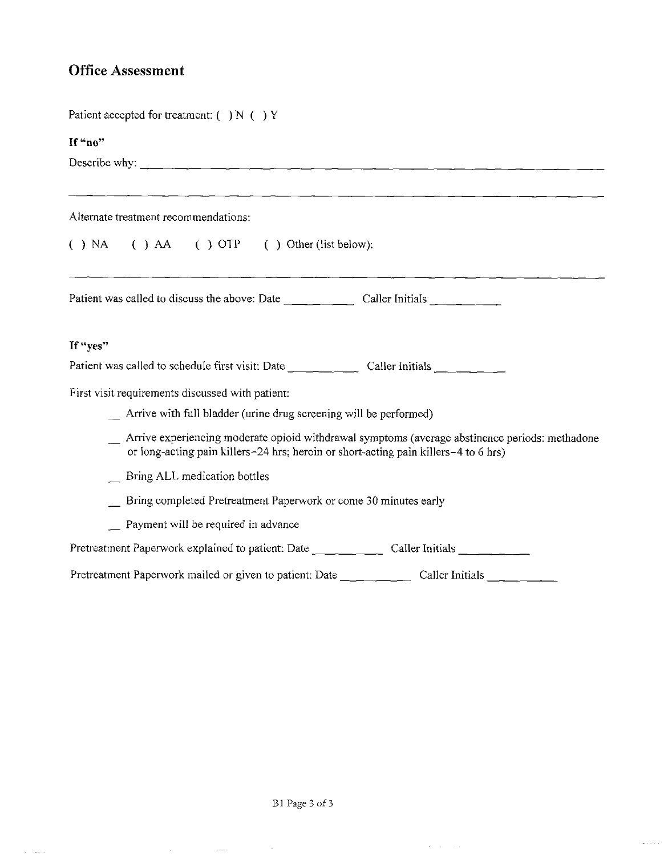# **Office Assessment**

| Patient accepted for treatment: () N () Y                                                                                                                                             |
|---------------------------------------------------------------------------------------------------------------------------------------------------------------------------------------|
| If "no"                                                                                                                                                                               |
| Describe why:                                                                                                                                                                         |
|                                                                                                                                                                                       |
| Alternate treatment recommendations:                                                                                                                                                  |
| $( )$ NA $( )$ AA $( )$ OTP $( )$ Other (list below):                                                                                                                                 |
|                                                                                                                                                                                       |
| If "yes"                                                                                                                                                                              |
|                                                                                                                                                                                       |
| First visit requirements discussed with patient:                                                                                                                                      |
| Arrive with full bladder (urine drug screening will be performed)                                                                                                                     |
| Arrive experiencing moderate opioid withdrawal symptoms (average abstinence periods: methadone<br>or long-acting pain killers-24 hrs; heroin or short-acting pain killers-4 to 6 hrs) |
| Bring ALL medication bottles                                                                                                                                                          |
| Bring completed Pretreatment Paperwork or come 30 minutes early                                                                                                                       |
| Payment will be required in advance                                                                                                                                                   |
| Pretreatment Paperwork explained to patient: Date _________ Caller Initials _____ _ _                                                                                                 |
|                                                                                                                                                                                       |

 $\sim$   $\sim$ 

 $\frac{1}{2} \left( \frac{1}{2} \right)$  ,  $\frac{1}{2} \left( \frac{1}{2} \right)$  ,  $\frac{1}{2} \left( \frac{1}{2} \right)$ 

 $\mathcal{L}^{\text{max}}$  and  $\mathcal{L}^{\text{max}}$ 

 $\mathcal{A}^{\mathcal{A}}$  ,  $\mathcal{A}^{\mathcal{A}}$  , and

 $\omega$  ,  $\ldots$  .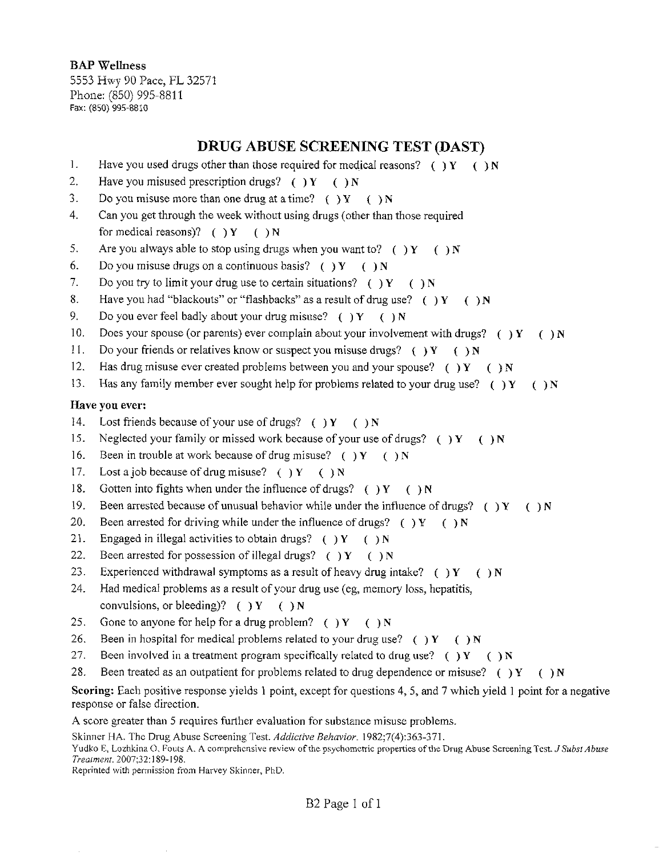BAP Wellness 5553 Hwy 90 Pace, FL 32571 Phone: (850) 995-8811 Fax: (850) 995-8810

# **DRUG ABUSE SCREENING TEST (DAST)**

- 1. Have you used drugs other than those required for medical reasons? ( ) Y ( ) N
- 2. Have you misused prescription drugs? ( $Y \cap Y$  () N
- 3. Do you misuse more than one drug at a time? ( ) Y ( ) N
- 4. Can you get through the week without using drugs (other than those required for medical reasons)? ( ) Y ( ) N
- 5. Are you always able to stop using drugs when you want to? ( ) Y ( ) N
- 6. Do you misuse drugs on a continuous basis? ( ) Y ( ) N
- 7. Do you try to limit your drug use to certain situations? () Y () N
- 8. Have you had "blackouts" or "flashbacks" as a result of drug use? ( )  $Y = ( )N$
- 9. Do you ever feel badly about your drug misuse? ( ) Y ( ) N
- 10. Does your spouse (or parents) ever complain about your involvement with drugs? ( $\gamma Y$  ( $\gamma N$
- 11. Do your friends or relatives know or suspect you misuse drugs? () Y () N
- 12. Has drug misuse ever created problems between you and your spouse? ( )  $Y = ( ) N$
- 13. Has any family member ever sought help for problems related to your drug use? ( ) Y ( ) N

#### Have you ever:

- 14. Lost friends because of your use of drugs? ( )  $Y = ( )N$
- 15. Neglected your family or missed work because of your use of drugs? ( ) Y ( ) N
- 16. Been in trouble at work because of drug misuse? ( )  $Y = ( )N$
- 17. Lost a job because of drug misuse? ( $Y \in \mathbb{N}$
- 18. Gotten into fights when under the influence of drugs? ( ) Y ( ) N
- 19. Been arrested because of unusual behavior while under the influence of drugs? ()  $Y = (x, y)$
- 20. Been arrested for driving while under the influence of drugs? () Y () N
- 21. Engaged in illegal activities to obtain drugs? ( ) Y ( ) N
- 22. Been arrested for possession of illegal drugs? ( )  $Y = ( )N$
- 23. Experienced withdrawal symptoms as a result of heavy-drug intake? ( ) Y ( ) N
- 24. Had medical problems as a result of your drug use (eg, memory loss, hepatitis, convulsions, or bleeding)?  $( )Y ( )N$
- 25. Gone to anyone for help for a drug problem? ( ) Y ( ) N
- 26. Been in hospital for medical problems related to your drug use? () Y () N
- 27. Been involved in a treatment program specifically related to drug use? () Y () N
- 28. Been treated as an outpatient for problems related to drug dependence or misuse? () Y () N

Scoring: Each positive response yields 1 point, except for questions 4, 5, and 7 which yield 1 point for a negative response or false direction.

A score greater than 5 requires further evaluation for substance misuse problems.

Skinner HA. The Drug Abuse Screening Test. *Addictive Behavior.* 1982;7(4):363-371.

Yudko E, Lozhkina O, Fouts A. A comprehensive review of the psychometric properties of the Drug Abuse Screening Test. *J Subsl Abuse Treatment.* 2007;32:1 89-198.

Reprinted with permission from Harvey Skinner, PhD.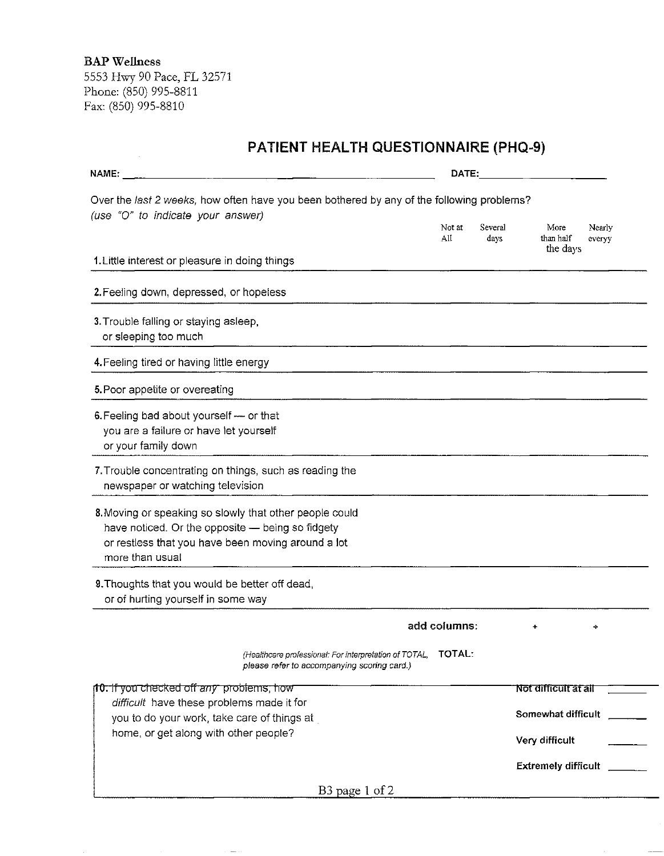**BAP Wellness** 

5553 Hwy90 Pace, FL 32571 Phone: (850) 995-8811 Fax: (850) 995-8810

| <b>PATIENT HEALTH QUESTIONNAIRE (PHQ-9)</b>                                                                                                                                          |               |                 |                                                   |  |
|--------------------------------------------------------------------------------------------------------------------------------------------------------------------------------------|---------------|-----------------|---------------------------------------------------|--|
| NAME:                                                                                                                                                                                | DATE:         |                 |                                                   |  |
| Over the last 2 weeks, how often have you been bothered by any of the following problems?<br>(use "O" to indicate your answer)                                                       |               |                 |                                                   |  |
|                                                                                                                                                                                      | Not at<br>All | Several<br>days | More<br>Nearly<br>than half<br>evervy<br>the days |  |
| 1. Little interest or pleasure in doing things                                                                                                                                       |               |                 |                                                   |  |
| 2. Feeling down, depressed, or hopeless                                                                                                                                              |               |                 |                                                   |  |
| 3. Trouble falling or staying asleep,<br>or sleeping too much                                                                                                                        |               |                 |                                                   |  |
| 4. Feeling tired or having little energy                                                                                                                                             |               |                 |                                                   |  |
| 5. Poor appetite or overeating                                                                                                                                                       |               |                 |                                                   |  |
| 6. Feeling bad about yourself - or that<br>you are a failure or have let yourself<br>or your family down                                                                             |               |                 |                                                   |  |
| 7. Trouble concentrating on things, such as reading the<br>newspaper or watching television                                                                                          |               |                 |                                                   |  |
| 8. Moving or speaking so slowly that other people could<br>have noticed. Or the opposite - being so fidgety<br>or restless that you have been moving around a lot<br>more than usual |               |                 |                                                   |  |
| 9. Thoughts that you would be better off dead,<br>or of hurting yourself in some way                                                                                                 |               |                 |                                                   |  |
|                                                                                                                                                                                      | add columns:  |                 |                                                   |  |
| (Healthcare professional: For interpretation of TOTAL,<br>please refer to accompanying scoring card.)                                                                                | <b>TOTAL:</b> |                 |                                                   |  |
| <b>10.</b> If you checked off any problems, how                                                                                                                                      |               |                 | Not difficult at all                              |  |
| difficult have these problems made it for<br>you to do your work, take care of things at                                                                                             |               |                 | Somewhat difficult                                |  |
| home, or get along with other people?                                                                                                                                                |               |                 | Very difficult                                    |  |
|                                                                                                                                                                                      |               |                 | <b>Extremely difficult</b>                        |  |
| B <sub>3</sub> page 1 of 2                                                                                                                                                           |               |                 |                                                   |  |

 $\longrightarrow$   $\gamma$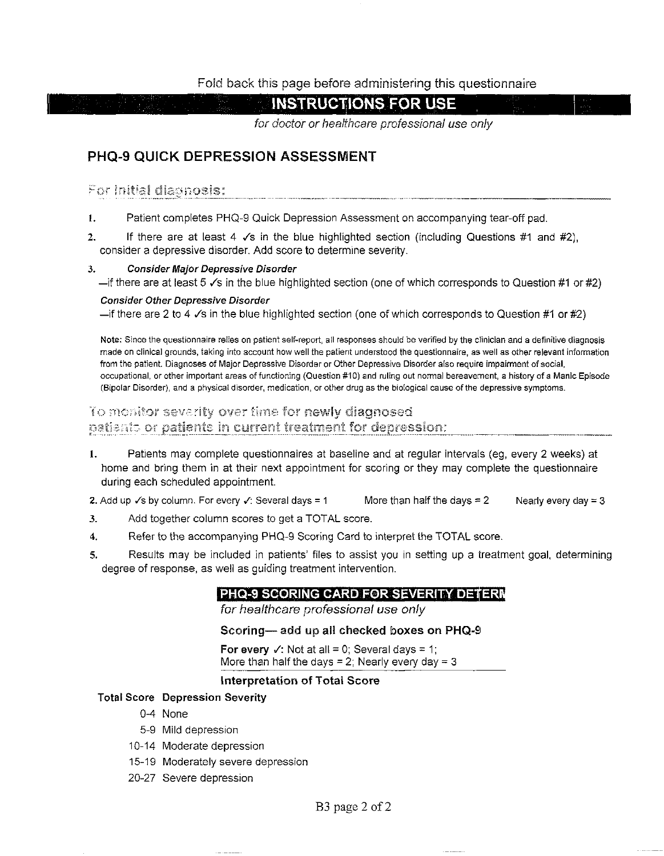## **Fold** back this page before administering this questionnaire

**INSTRUCTIONS FOR USE** 

for doctor or healthcare professional use only

# **PHQ-9 QUICK DEPRESSION ASSESSMENT**

## For initial diagnosis:

- 1. Patient completes PHQ-9 Quick Depression Assessment on accompanying tear-off pad.
- 2. If there are at least 4  $\sqrt{s}$  in the blue highlighted section (including Questions #1 and #2), consider a depressive disorder. Add score to determine severity.

#### 3. **Consider Major Depressive Disorder**

 $-$ if there are at least 5  $\checkmark$ s in the blue highlighted section (one of which corresponds to Question #1 or #2)

#### **Consider Other Depressive Disorder**

-if there are 2 to 4  $\checkmark$ s in the blue highlighted section (one of which corresponds to Question #1 or #2)

**Note:** Since the questionnaire relies on patient self-report, all responses should be verified by the clinician and a definitive diagnosis made on clinical grounds, taking into account how well the patient understood the questionnaire, as well as other relevant information from the patient. Diagnoses of Major Depressive Disorder or Other Depressive Disorder also require impairment of social, occupational, or other important areas of functioning (Question #10) and ruling out normal bereavement, a history of a Manic Episode (Bipolar Disorder), and a physical disorder, medication, or other drug as the biological cause of the depressive symptoms.

## To menitor severity over time for newly diagnosed patients or patients in current treatment for depression:

1. Patients may complete questionnaires at baseline and at regular intervals (eg, every 2 weeks) at home and bring them in at their next appointment for scoring or they may complete the questionnaire during each scheduled appointment.

2. Add up  $\checkmark$ s by column. For every  $\checkmark$ : Several days = 1 More than half the days = 2 Nearly every day = 3

- 3. Add together column scores to get a TOTAL score.
- 4. Refer to the accompanying PHQ-9 Scoring Card to interpret the TOTAL score.
- 5. Results may be included in patients' files to assist you in setting up a treatment goal, determining degree of response, as well as guiding treatment intervention.

# **PHQ-9 SCORING CARD F0R SEVERITY DETER**

for healthcare professional use only

#### **Scoring— add up all checked boxes on PHQ-9**

**For every**  $\checkmark$ : Not at all = 0; Several days = 1; More than half the days  $= 2$ ; Nearly every day  $= 3$ 

## **Interpretation of Total Scor e**

#### **Total Score Depression Severity**

- 0-4 None
- 5-9 Mild depression
- 10-14 Moderate depression
- 15-19 Moderately severe depression
- 20-27 Severe depression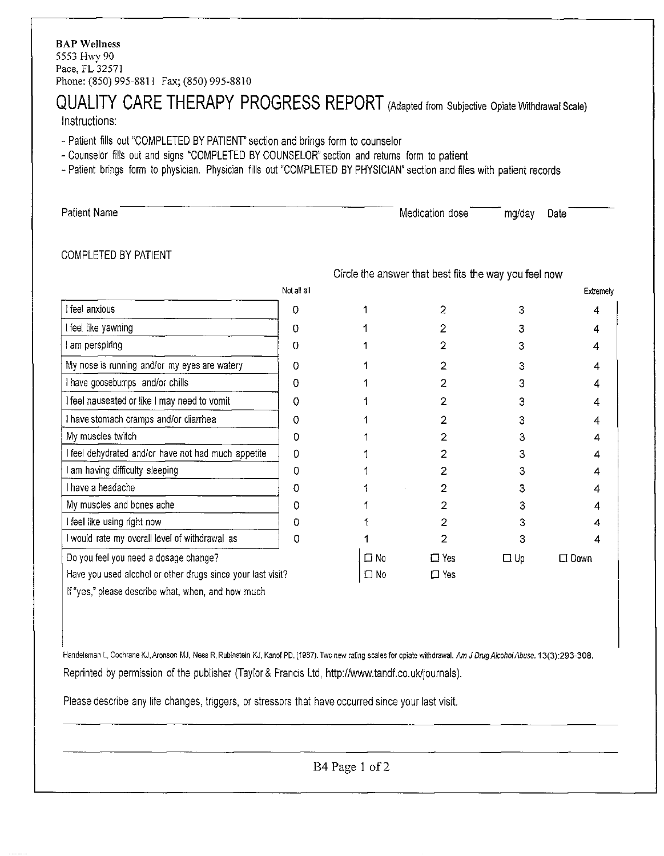# QUALITY CARE THERAPY PROGRESS REPORT (Adapted from Subjective Opiate Withdrawal Scale)

Instructions:

- Patient fills out "COMPLETED BY PATIENT' section and brings form to counselor
- Counselor fills out and signs "COMPLETED BY COUNSELOR" section and returns form to patient
- Patient brings form to physician. Physician fills out "COMPLETED BY PHYSICIAN" section and files with patient records

| Patient Name         | Medication dose                                       | mg/day | Date |
|----------------------|-------------------------------------------------------|--------|------|
| COMPLETED BY PATIENT | Circle the answer that best fits the way you feel now |        |      |

|                                                             | Not all all |              |                |           | Extremely      |
|-------------------------------------------------------------|-------------|--------------|----------------|-----------|----------------|
| I feel anxious                                              | O           |              | $\overline{2}$ |           |                |
| l feel like yawning                                         | 0           |              |                |           |                |
| am perspiring                                               | 0           |              |                |           |                |
| My nose is running and/or my eyes are watery                | O           |              |                |           | 4              |
| I have goosebumps and/or chills                             | 0           |              |                |           | 4              |
| I feel nauseated or like I may need to vomit                | 0           |              |                |           |                |
| I have stomach cramps and/or diarrhea                       | 0           |              |                |           | 4              |
| My muscles twitch                                           | Ω           |              |                |           |                |
| feel dehydrated and/or have not had much appetite           | $\Omega$    |              |                |           |                |
| am having difficulty sleeping                               | Ω           |              |                |           |                |
| I have a headache                                           | 0           |              |                |           |                |
| My muscles and bones ache                                   | Ω           |              |                |           |                |
| I feel like using right now                                 | Đ           |              |                |           |                |
| I would rate my overall level of withdrawal as              | 0           |              | 2              |           | 4              |
| Do you feel you need a dosage change?                       |             | $\Box$ No    | $\square$ Yes  | $\Box$ Up | $\square$ Down |
| Have you used alcohol or other drugs since your last visit? |             | $\square$ No | $\square$ Yes  |           |                |
| If "yes," please describe what, when, and how much          |             |              |                |           |                |

Handelsman L, Cochrane KJ, Aronson MJ, Ness R, Rubinstein KJ, Kanof PD. (1987). Two new rating scales for opiate withdrawal. Am J Drug Alcohol Abuse. 13(3):293-308. Reprinted by permission of the publisher (Taylor & Francis Ltd, http://www.tandf.co.uk/journals).

Please describe any life changes, triggers, or stressors that have occurred since your last visit.

B4Page 1 of 2